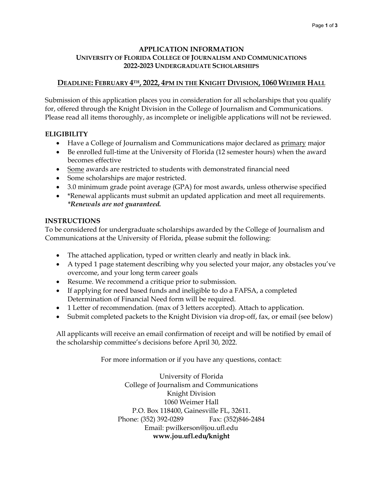#### **APPLICATION INFORMATION UNIVERSITY OF FLORIDA COLLEGE OF JOURNALISM AND COMMUNICATIONS 2022-2023 UNDERGRADUATE SCHOLARSHIPS**

# **DEADLINE: FEBRUARY 4TH, 2022, 4PM IN THE KNIGHT DIVISION, 1060 WEIMER HALL**

Submission of this application places you in consideration for all scholarships that you qualify for, offered through the Knight Division in the College of Journalism and Communications. Please read all items thoroughly, as incomplete or ineligible applications will not be reviewed.

## **ELIGIBILITY**

- Have a College of Journalism and Communications major declared as primary major
- Be enrolled full-time at the University of Florida (12 semester hours) when the award becomes effective
- Some awards are restricted to students with demonstrated financial need
- Some scholarships are major restricted.
- 3.0 minimum grade point average (GPA) for most awards, unless otherwise specified
- \*Renewal applicants must submit an updated application and meet all requirements. *\*Renewals are not guaranteed.*

## **INSTRUCTIONS**

To be considered for undergraduate scholarships awarded by the College of Journalism and Communications at the University of Florida, please submit the following:

- The attached application, typed or written clearly and neatly in black ink.
- A typed 1 page statement describing why you selected your major, any obstacles you've overcome, and your long term career goals
- Resume. We recommend a critique prior to submission.
- If applying for need based funds and ineligible to do a FAFSA, a completed Determination of Financial Need form will be required.
- 1 Letter of recommendation. (max of 3 letters accepted). Attach to application.
- Submit completed packets to the Knight Division via drop-off, fax, or email (see below)

All applicants will receive an email confirmation of receipt and will be notified by email of the scholarship committee's decisions before April 30, 2022.

For more information or if you have any questions, contact:

University of Florida College of Journalism and Communications Knight Division 1060 Weimer Hall P.O. Box 118400, Gainesville FL, 32611. Phone: (352) 392-0289 Fax: (352)846-2484 Email: pwilkerson@jou.ufl.edu **www.jou.ufl.edu/knight**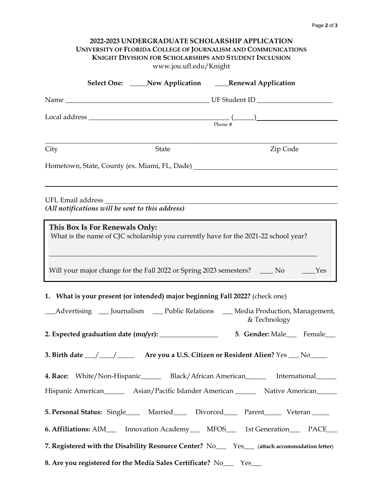| 2022-2023 UNDERGRADUATE SCHOLARSHIP APPLICATION<br>UNIVERSITY OF FLORIDA COLLEGE OF JOURNALISM AND COMMUNICATIONS<br><b>KNIGHT DIVISION FOR SCHOLARSHIPS AND STUDENT INCLUSION</b><br>www.jou.ufl.edu/Knight                                                                  |
|-------------------------------------------------------------------------------------------------------------------------------------------------------------------------------------------------------------------------------------------------------------------------------|
| Select One: _____New Application ______Renewal Application                                                                                                                                                                                                                    |
|                                                                                                                                                                                                                                                                               |
|                                                                                                                                                                                                                                                                               |
| Zip Code<br>City<br><b>State</b>                                                                                                                                                                                                                                              |
| Hometown, State, County (ex. Miami, FL, Dade) ___________________________________                                                                                                                                                                                             |
| (All notifications will be sent to this address)                                                                                                                                                                                                                              |
| This Box Is For Renewals Only:<br>What is the name of CJC scholarship you currently have for the 2021-22 school year?<br><u> 1989 - Johann Stoff, amerikansk politiker (d. 1989)</u><br>Will your major change for the Fall 2022 or Spring 2023 semesters? _____ No ______Yes |
| 1. What is your present (or intended) major beginning Fall 2022? (check one)                                                                                                                                                                                                  |
| _Advertising ____ Journalism _____ Public Relations _____ Media Production, Management,<br>& Technology                                                                                                                                                                       |
| 2. Expected graduation date (mo/yr): _________________<br>5. Gender: Male___ Female___                                                                                                                                                                                        |
| 3. Birth date __/ ___/ _____ Are you a U.S. Citizen or Resident Alien? Yes __ No____                                                                                                                                                                                          |
| 4. Race: White/Non-Hispanic_______ Black/African American________ International______                                                                                                                                                                                         |
| Hispanic American_________ Asian/Pacific Islander American__________ Native American_______                                                                                                                                                                                   |
| 5. Personal Status: Single______ Married_______ Divorced_______ Parent________ Veteran ______                                                                                                                                                                                 |
| 6. Affiliations: AIM___ Innovation Academy___ MFOS___ 1st Generation___ PACE___                                                                                                                                                                                               |
| 7. Registered with the Disability Resource Center? No__ Yes_ (attach accommodation letter)                                                                                                                                                                                    |
| 8. Are you registered for the Media Sales Certificate? No___ Yes___                                                                                                                                                                                                           |